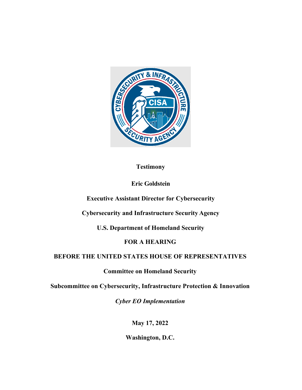

### **Testimony**

# **Eric Goldstein**

**Executive Assistant Director for Cybersecurity** 

**Cybersecurity and Infrastructure Security Agency** 

**U.S. Department of Homeland Security** 

# **FOR A HEARING**

# **BEFORE THE UNITED STATES HOUSE OF REPRESENTATIVES**

# **Committee on Homeland Security**

**Subcommittee on Cybersecurity, Infrastructure Protection & Innovation** 

*Cyber EO Implementation* 

**May 17, 2022** 

**Washington, D.C.**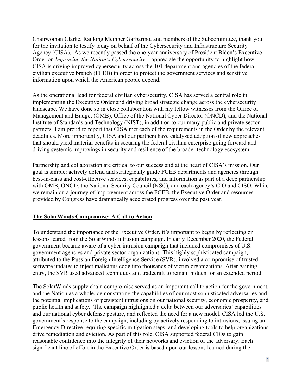Chairwoman Clarke, Ranking Member Garbarino, and members of the Subcommittee, thank you for the invitation to testify today on behalf of the Cybersecurity and Infrastructure Security Agency (CISA). As we recently passed the one-year anniversary of President Biden's Executive Order on *Improving the Nation's Cybersecurity*, I appreciate the opportunity to highlight how CISA is driving improved cybersecurity across the 101 department and agencies of the federal civilian executive branch (FCEB) in order to protect the government services and sensitive information upon which the American people depend.

As the operational lead for federal civilian cybersecurity, CISA has served a central role in implementing the Executive Order and driving broad strategic change across the cybersecurity landscape. We have done so in close collaboration with my fellow witnesses from the Office of Management and Budget (OMB), Office of the National Cyber Director (ONCD), and the National Institute of Standards and Technology (NIST), in addition to our many public and private sector partners. I am proud to report that CISA met each of the requirements in the Order by the relevant deadlines. More importantly, CISA and our partners have catalyzed adoption of new approaches that should yield material benefits in securing the federal civilian enterprise going forward and driving systemic improvings in security and resilience of the broader technology ecosystem.

Partnership and collaboration are critical to our success and at the heart of CISA's mission. Our goal is simple: actively defend and strategically guide FCEB departments and agencies through best-in-class and cost-effective services, capabilities, and information as part of a deep partnership with OMB, ONCD, the National Security Council (NSC), and each agency's CIO and CISO. While we remain on a journey of improvement across the FCEB, the Executive Order and resources provided by Congress have dramatically accelerated progress over the past year.

#### **The SolarWinds Compromise: A Call to Action**

To understand the importance of the Executive Order, it's important to begin by reflecting on lessons leared from the SolarWinds intrusion campaign. In early December 2020, the Federal government became aware of a cyber intrusion campaign that included compromises of U.S. government agencies and private sector organizations. This highly sophisticated campaign, attributed to the Russian Foreign Intelligence Service (SVR), involved a compromise of trusted software updates to inject malicious code into thousands of victim organizations. After gaining entry, the SVR used advanced techniques and tradecraft to remain hidden for an extended period.

The SolarWinds supply chain compromise served as an important call to action for the government, and the Nation as a whole, demonstrating the capabilities of our most sophisticated adversaries and the potential implications of persistent intrusions on our national security, economic prosperity, and public health and safety. The campaign highlighted a delta between our adversaries' capabilities and our national cyber defense posture, and reflected the need for a new model. CISA led the U.S. government's response to the campaign, including by actively responding to intrusions, issuing an Emergency Directive requiring specific mitigation steps, and developing tools to help organizations drive remediation and eviction. As part of this role, CISA supported federal CIOs to gain reasonable confidence into the integrity of their networks and eviction of the adversary. Each significant line of effort in the Executive Order is based upon our lessons learned during the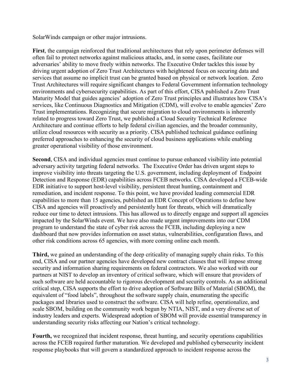SolarWinds campaign or other major intrusions.

**First**, the campaign reinforced that traditional architectures that rely upon perimeter defenses will often fail to protect networks against malicious attacks, and, in some cases, facilitate our adversaries' ability to move freely within networks. The Executive Order tackles this issue by driving urgent adoption of Zero Trust Architectures with heightened focus on securing data and services that assume no implicit trust can be granted based on physical or network location. Zero Trust Architectures will require significant changes to Federal Government information technology environments and cybersecurity capabilities. As part of this effort, CISA published a Zero Trust Maturity Model that guides agencies' adoption of Zero Trust principles and illustrates how CISA's services, like Continuous Diagnostics and Mitigation (CDM), will evolve to enable agencies' Zero Trust implementations. Recognizing that secure migration to cloud environments is inherently related to progress toward Zero Trust, we published a Cloud Security Technical Reference Architecture and continue efforts to help federal civilian agencies, and the broader community, utilize cloud resources with security as a priority. CISA published technical guidance outlining preferred approaches to enhancing the security of cloud business applications while enabling greater operational visibility of those environment.

**Second**, CISA and individual agencies must continue to pursue enhanced visibility into potential adversary activity targeting federal networks. The Executive Order has driven urgent steps to improve visibility into threats targeting the U.S. government, including deployment of Endpoint Detection and Response (EDR) capabilities across FCEB networks. CISA developed a FCEB-wide EDR initiative to support host-level visibility, persistent threat hunting, containment and remediation, and incident response. To this point, we have provided leading commercial EDR capabilities to more than 15 agencies, published an EDR Concept of Operations to define how CISA and agencies will proactively and persistently hunt for threats, which will dramatically reduce our time to detect intrusions. This has allowed us to directly engage and support all agencies impacted by the SolarWinds event. We have also made urgent improvements into our CDM program to understand the state of cyber risk across the FCEB, including deploying a new dashboard that now provides information on asset status, vulnerabilities, configuration flaws, and other risk conditions across 65 agencies, with more coming online each month.

**Third,** we gained an understanding of the deep criticality of managing supply chain risks. To this end, CISA and our partner agencies have developed new contract clauses that will impose strong security and information sharing requirements on federal contractors. We also worked with our partners at NIST to develop an inventory of critical software, which will ensure that providers of such software are held accountable to rigorous development and security controls. As an additional critical step, CISA supports the effort to drive adoption of Software Bills of Material (SBOM), the equivalent of "food labels", throughout the software supply chain, enumerating the specific packages and libraries used to construct the software. CISA will help refine, operationalize, and scale SBOM, building on the community work begun by NTIA, NIST, and a very diverse set of industry leaders and experts. Widespread adoption of SBOM will provide essential transparency in understanding security risks affecting our Nation's critical technology.

**Fourth,** we recognized that incident response, threat hunting, and security operations capabilities across the FCEB required further maturation. We developed and published cybersecurity incident response playbooks that will govern a standardized approach to incident response across the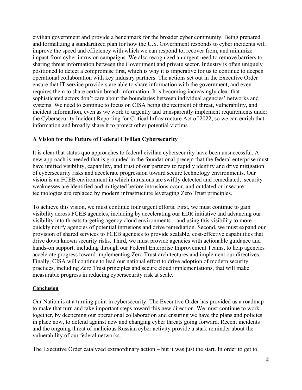civilian government and provide a benchmark for the broader cyber community. Being prepared and formalizing a standardized plan for how the U.S. Government responds to cyber incidents will improve the speed and efficiency with which we can respond to, recover from, and minimize impact from cyber intrusion campaigns. We also recognized an urgent need to remove barriers to sharing threat information between the Government and private sector. Industry is often uniquely positioned to detect a compromise first, which is why it is imperative for us to continue to deepen operational collaboration with key industry partners. The actions set out in the Executive Order ensure that IT service providers are able to share information with the government, and even requires them to share certain breach information. It is becoming increasingly clear that sophisticated actors don't care about the boundaries between individual agencies' networks and systems. We need to continue to focus on CISA being the recipient of threat, vulnerability, and incident information, even as we work to urgently and transparently implement requirements under the Cybersecurity Incident Reporting for Critical Infrastructure Act of 2022, so we can enrich that information and broadly share it to protect other potential victims.

#### **A Vision for the Future of Federal Civilian Cybersecurity**

It is clear that status quo approaches to federal civilian cybersecurity have been unsuccessful. A new approach is needed that is grounded in the foundational precept that the federal enterprise must have unified visibility, capability, and trust of our partners to rapidly identify and drive mitigation of cybersecurity risks and accelerate progression toward secure technology environments. Our vision is an FCEB environment in which intrusions are swiftly detected and remediated, security weaknesses are identified and mitigated before intrusions occur, and outdated or insecure technologies are replaced by modern infrastructure leveraging Zero Trust principles.

To achieve this vision, we must continue four urgent efforts. First, we must continue to gain visibility across FCEB agencies, including by accelerating our EDR initiative and advancing our visibility into threats targeting agency cloud environments – and using this visibility to more quickly notify agencies of potential intrusions and drive remediation. Second, we must expand our provision of shared services to FCEB agencies to provide scalable, cost-effective capabilities that drive down known security risks. Third, we must provide agencies with actionable guidance and hands-on support, including through our Federal Enterprise Improvement Teams, to help agencies accelerate progress toward implementing Zero Trust architectures and implement our directives. Finally, CISA will continue to lead our national effort to drive adoption of modern security practices, including Zero Trust principles and secure cloud implementations, that will make measurable progress in reducing cybersecurity risk at scale.

#### **Conclusion**

Our Nation is at a turning point in cybersecurity. The Executive Order has provided us a roadmap to make that turn and take important steps toward this new direction. We must continue to work together, by deepening our operational collaboration and ensuring we have the plans and policies in place now, to defend against new and changing cyber threats going forward. Recent incidents and the ongoing threat of malicious Russian cyber activity provide a stark reminder about the vulnerability of our federal networks.

The Executive Order catalyzed extraordinary action – but it was just the start. In order to get to